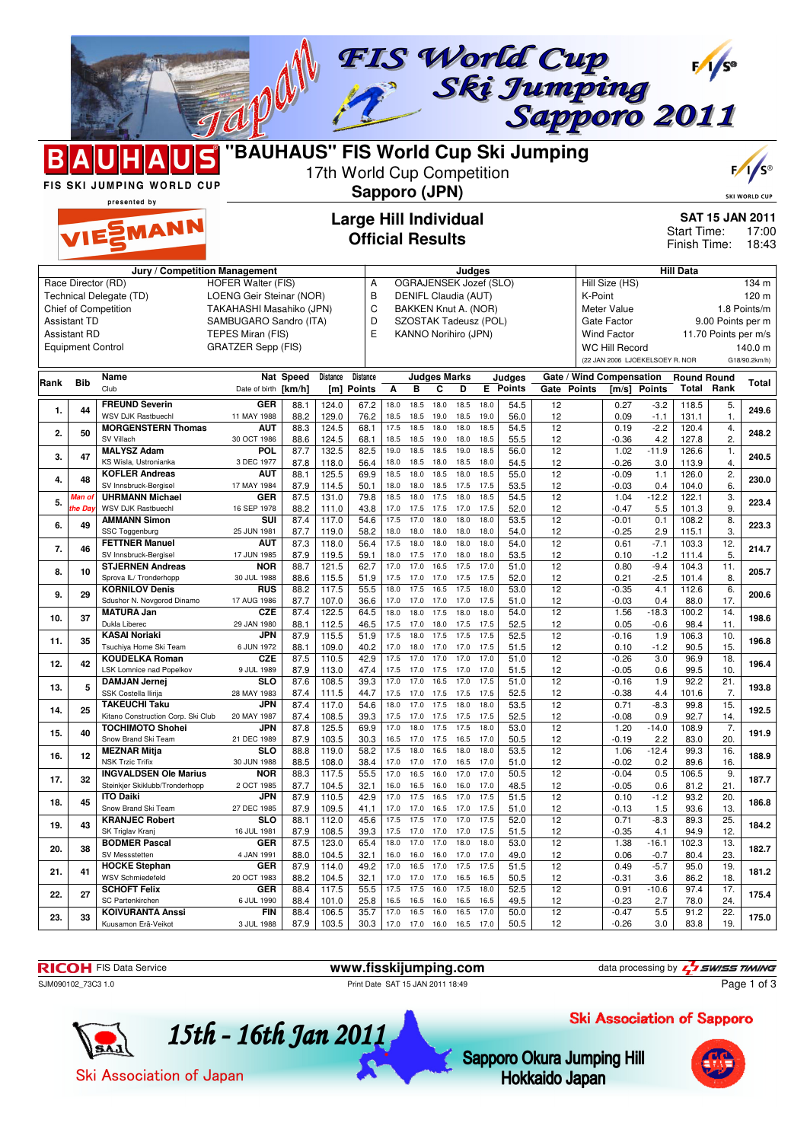

FIS SKI JUMPING WORLD CUP presented by

MANN

## 17th World Cup Competition **Sapporo (JPN)**



**SKI WORLD** 

**Large Hill Individual**

## **Official Results**

**SAT 15 JAN 2011** 17:00 18:43 Start Time: Finish Time:

| Jury / Competition Management                           |                          |                                                          |                           |              |                        |                                  |                                 | Judges       |                          |              |              |                         |                 |                         | <b>Hill Data</b>                  |                                 |                    |                      |               |
|---------------------------------------------------------|--------------------------|----------------------------------------------------------|---------------------------|--------------|------------------------|----------------------------------|---------------------------------|--------------|--------------------------|--------------|--------------|-------------------------|-----------------|-------------------------|-----------------------------------|---------------------------------|--------------------|----------------------|---------------|
| Race Director (RD)<br><b>HOFER Walter (FIS)</b>         |                          |                                                          |                           |              |                        |                                  | OGRAJENSEK Jozef (SLO)<br>Α     |              |                          |              |              |                         |                 | Hill Size (HS)<br>134 m |                                   |                                 |                    |                      |               |
| LOENG Geir Steinar (NOR)<br>Technical Delegate (TD)     |                          |                                                          |                           |              |                        | B                                | DENIFL Claudia (AUT)<br>K-Point |              |                          |              |              |                         |                 | 120 m                   |                                   |                                 |                    |                      |               |
| <b>Chief of Competition</b><br>TAKAHASHI Masahiko (JPN) |                          |                                                          |                           |              |                        | $\mathsf{C}$                     |                                 |              | BAKKEN Knut A. (NOR)     |              |              |                         |                 |                         | Meter Value                       |                                 |                    |                      | 1.8 Points/m  |
|                                                         | <b>Assistant TD</b>      |                                                          | SAMBUGARO Sandro (ITA)    |              |                        | D                                |                                 |              | SZOSTAK Tadeusz (POL)    |              |              |                         |                 |                         | Gate Factor                       |                                 |                    | 9.00 Points per m    |               |
|                                                         | <b>Assistant RD</b>      |                                                          | TEPES Miran (FIS)         |              |                        | E                                |                                 |              | KANNO Norihiro (JPN)     |              |              |                         |                 |                         | <b>Wind Factor</b>                |                                 |                    | 11.70 Points per m/s |               |
|                                                         | <b>Equipment Control</b> |                                                          | <b>GRATZER Sepp (FIS)</b> |              |                        |                                  |                                 |              |                          |              |              |                         |                 |                         | <b>WC Hill Record</b>             |                                 |                    |                      | 140.0 m       |
|                                                         |                          |                                                          |                           |              |                        |                                  |                                 |              |                          |              |              |                         |                 |                         |                                   | (22 JAN 2006 LJOEKELSOEY R. NOR |                    |                      | G18/90.2km/h) |
|                                                         |                          |                                                          |                           |              |                        |                                  |                                 |              |                          |              |              |                         |                 |                         |                                   |                                 |                    |                      |               |
| Rank                                                    | <b>Bib</b>               | Name<br>Club                                             | Date of birth [km/h]      | Nat Speed    | <b>Distance</b><br>[m] | <b>Distance</b><br><b>Points</b> | A                               | B            | <b>Judges Marks</b><br>C | D            | E.           | Judges<br><b>Points</b> | Gate            | <b>Points</b>           | Gate / Wind Compensation<br>[m/s] | Points                          | <b>Round Round</b> | <b>Total Rank</b>    | Total         |
|                                                         |                          |                                                          |                           |              |                        |                                  |                                 |              |                          |              |              |                         |                 |                         |                                   |                                 |                    |                      |               |
| 1.                                                      | 44                       | <b>FREUND Severin</b>                                    | <b>GER</b>                | 88.1         | 124.0                  | 67.2                             | 18.0                            | 18.5         | 18.0                     | 18.5         | 18.0         | 54.5                    | 12              |                         | 0.27                              | $-3.2$                          | 118.5              | 5.                   | 249.6         |
|                                                         |                          | <b>WSV DJK Rastbuechl</b>                                | 11 MAY 1988               | 88.2         | 129.0                  | 76.2                             | 18.5                            | 18.5         | 19.0                     | 18.5         | 19.0         | 56.0                    | 12              |                         | 0.09                              | -1.1                            | 131.1              | $\mathbf{1}$         |               |
| 2.                                                      | 50                       | <b>MORGENSTERN Thomas</b>                                | AUT                       | 88.3         | 124.5                  | 68.1                             | 17.5                            | 18.5         | 18.0                     | 18.0         | 18.5         | 54.5                    | $\overline{12}$ |                         | 0.19                              | $-2.2$                          | 120.4              | 4.                   | 248.2         |
|                                                         |                          | SV Villach<br><b>MALYSZ Adam</b>                         | 30 OCT 1986<br>POL        | 88.6         | 124.5                  | 68.1                             | 18.5<br>19.0                    | 18.5         | 19.0<br>18.5             | 18.0<br>19.0 | 18.5<br>18.5 | 55.5                    | 12              |                         | $-0.36$                           | 4.2                             | 127.8              | 2.                   |               |
| 3.                                                      | 47                       | KS Wisla, Ustronianka                                    | 3 DEC 1977                | 87.7<br>87.8 | 132.5<br>118.0         | 82.5<br>56.4                     | 18.0                            | 18.5<br>18.5 | 18.0                     | 18.5         | 18.0         | 56.0<br>54.5            | 12<br>12        |                         | 1.02<br>$-0.26$                   | $-11.9$<br>3.0                  | 126.6<br>113.9     | $\mathbf{1}$ .<br>4. | 240.5         |
|                                                         |                          | <b>KOFLER Andreas</b>                                    | <b>AUT</b>                | 88.1         | 125.5                  | 69.9                             | 18.5                            | 18.0         | 18.5                     | 18.0         | 18.5         | 55.0                    | 12              |                         | $-0.09$                           | 1.1                             | 126.0              | $\overline{2}$       |               |
| 4.                                                      | 48                       | SV Innsbruck-Bergisel                                    | 17 MAY 1984               | 87.9         | 114.5                  | 50.1                             | 18.0                            | 18.0         | 18.5                     | 17.5         | 17.5         | 53.5                    | 12              |                         | $-0.03$                           | 0.4                             | 104.0              | 6.                   | 230.0         |
|                                                         | Man o                    | <b>UHRMANN Michael</b>                                   | GER                       | 87.5         | 131.0                  | 79.8                             | 18.5                            | 18.0         | 17.5                     | 18.0         | 18.5         | 54.5                    | 12              |                         | 1.04                              | $-12.2$                         | 122.1              | 3.                   |               |
| 5.                                                      | he Day                   | <b>WSV DJK Rastbuechl</b>                                | 16 SEP 1978               | 88.2         | 111.0                  | 43.8                             | 17.0                            | 17.5         | 17.5                     | 17.0         | 17.5         | 52.0                    | 12              |                         | $-0.47$                           | 5.5                             | 101.3              | 9.                   | 223.4         |
|                                                         |                          | <b>AMMANN Simon</b>                                      | $\overline{\text{su}}$    | 87.4         | 117.0                  | 54.6                             | 17.5                            | 17.0         | 18.0                     | 18.0         | 18.0         | 53.5                    | 12              |                         | $-0.01$                           | 0.1                             | 108.2              | $\overline{8}$ .     |               |
| 6.                                                      | 49                       | SSC Toggenburg                                           | 25 JUN 1981               | 87.7         | 119.0                  | 58.2                             | 18.0                            | 18.0         | 18.0                     | 18.0         | 18.0         | 54.0                    | 12              |                         | $-0.25$                           | 2.9                             | 115.1              | 3.                   | 223.3         |
|                                                         |                          | <b>FETTNER Manuel</b>                                    | <b>AUT</b>                | 87.3         | 118.0                  | 56.4                             | 17.5                            | 18.0         | 18.0                     | 18.0         | 18.0         | 54.0                    | 12              |                         | 0.61                              | $-7.1$                          | 103.3              | 12.                  |               |
| 7.                                                      | 46                       | SV Innsbruck-Bergisel                                    | 17 JUN 1985               | 87.9         | 119.5                  | 59.1                             | 18.0                            | 17.5         | 17.0                     | 18.0         | 18.0         | 53.5                    | 12              |                         | 0.10                              | $-1.2$                          | 111.4              | 5.                   | 214.7         |
| 8.                                                      | 10                       | <b>STJERNEN Andreas</b>                                  | <b>NOR</b>                | 88.7         | 121.5                  | 62.7                             | 17.0                            | 17.0         | 16.5                     | 17.5         | 17.0         | 51.0                    | 12              |                         | 0.80                              | $-9.4$                          | 104.3              | 11.                  | 205.7         |
|                                                         |                          | Sprova IL/ Tronderhopp                                   | 30 JUL 1988               | 88.6         | 115.5                  | 51.9                             | 17.5                            | 17.0         | 17.0                     | 17.5         | 17.5         | 52.0                    | 12              |                         | 0.21                              | $-2.5$                          | 101.4              | 8.                   |               |
| 9.                                                      | 29                       | <b>KORNILOV Denis</b>                                    | <b>RUS</b>                | 88.2         | 117.5                  | 55.5                             | 18.0                            | 17.5         | 16.5                     | 17.5         | 18.0         | 53.0                    | $\overline{12}$ |                         | $-0.35$                           | 4.1                             | 112.6              | 6.                   | 200.6         |
|                                                         |                          | Sdushor N. Novgorod Dinamo                               | 17 AUG 1986               | 87.7         | 107.0                  | 36.6                             | 17.0                            | 17.0         | 17.0                     | 17.0         | 17.5         | 51.0                    | 12              |                         | $-0.03$                           | 04                              | 88.0               | 17.                  |               |
| 10.                                                     | 37                       | <b>MATURA Jan</b>                                        | <b>CZE</b>                | 87.4         | 122.5                  | 64.5                             | 18.0                            | 18.0         | 17.5                     | 18.0         | 18.0         | 54.0                    | 12              |                         | 1.56                              | $-18.3$                         | 100.2              | 14.                  | 198.6         |
|                                                         |                          | Dukla Liberec                                            | 29 JAN 1980               | 88.1         | 112.5                  | 46.5                             | 17.5                            | 17.0         | 18.0                     | 17.5         | 17.5         | 52.5                    | 12              |                         | 0.05                              | $-0.6$                          | 98.4               | 11.                  |               |
| 11.                                                     | 35                       | <b>KASAI Noriaki</b>                                     | <b>JPN</b>                | 87.9         | 115.5                  | 51.9                             | 17.5                            | 18.0         | 17.5                     | 17.5         | 17.5         | 52.5                    | 12              |                         | $-0.16$                           | 1.9                             | 106.3              | 10.                  | 196.8         |
|                                                         |                          | Tsuchiya Home Ski Team                                   | 6 JUN 1972                | 88.1         | 109.0                  | 40.2                             | 17.0                            | 18.0         | 17.0                     | 17.0         | 17.5         | 51.5                    | 12              |                         | 0.10                              | $-1.2$                          | 90.5               | 15.                  |               |
| 12.                                                     | 42                       | <b>KOUDELKA Roman</b><br><b>LSK Lomnice nad Popelkov</b> | <b>CZE</b><br>9 JUL 1989  | 87.5<br>87.9 | 110.5                  | 42.9<br>47.4                     | 17.5<br>17.5                    | 17.0<br>17.0 | 17.0<br>17.5             | 17.0<br>17.0 | 17.0<br>17.0 | 51.0<br>51.5            | 12<br>12        |                         | $-0.26$<br>$-0.05$                | 3.0<br>0.6                      | 96.9               | 18.<br>10.           | 196.4         |
|                                                         |                          | <b>DAMJAN Jernej</b>                                     | <b>SLO</b>                | 87.6         | 113.0<br>108.5         | 39.3                             | 17.0                            | 17.0         | 16.5                     | 17.0         | 17.5         | 51.0                    | 12              |                         | $-0.16$                           | 1.9                             | 99.5<br>92.2       | 21.                  |               |
| 13.                                                     | 5                        | SSK Costella Ilirija                                     | 28 MAY 1983               | 87.4         | 111.5                  | 44.7                             | 17.5                            | 17.0         | 17.5                     | 17.5         | 17.5         | 52.5                    | 12              |                         | $-0.38$                           | 4.4                             | 101.6              | 7.                   | 193.8         |
|                                                         |                          | <b>TAKEUCHI Taku</b>                                     | JPN                       | 87.4         | 117.0                  | 54.6                             | 18.0                            | 17.0         | 17.5                     | 18.0         | 18.0         | 53.5                    | 12              |                         | 0.71                              | $-8.3$                          | 99.8               | 15.                  |               |
| 14.                                                     | 25                       | Kitano Construction Corp. Ski Club                       | 20 MAY 1987               | 87.4         | 108.5                  | 39.3                             | 17.5                            | 17.0         | 17.5                     | 17.5         | 17.5         | 52.5                    | 12              |                         | $-0.08$                           | 0.9                             | 92.7               | 14.                  | 192.5         |
|                                                         |                          | <b>TOCHIMOTO Shohei</b>                                  | <b>JPN</b>                | 87.8         | 125.5                  | 69.9                             | 17.0                            | 18.0         | 17.5                     | 17.5         | 18.0         | 53.0                    | 12              |                         | 1.20                              | $-14.0$                         | 108.9              | $\overline{7}$ .     |               |
| 15.                                                     | 40                       | Snow Brand Ski Team                                      | 21 DEC 1989               | 87.9         | 103.5                  | 30.3                             | 16.5                            | 17.0         | 17.5                     | 16.5         | 17.0         | 50.5                    | 12              |                         | $-0.19$                           | 2.2                             | 83.0               | 20.                  | 191.9         |
|                                                         |                          | <b>MEZNAR Mitja</b>                                      | SLO                       | 88.8         | 119.0                  | 58.2                             | 17.5                            | 18.0         | 16.5                     | 18.0         | 18.0         | 53.5                    | $\overline{12}$ |                         | 1.06                              | $-12.4$                         | 99.3               | 16.                  |               |
| 16.                                                     | 12                       | <b>NSK Trzic Trifix</b>                                  | 30 JUN 1988               | 88.5         | 108.0                  | 38.4                             | 17.0                            | 17.0         | 17.0                     | 16.5         | 17.0         | 51.0                    | 12              |                         | $-0.02$                           | 0.2                             | 89.6               | 16.                  | 188.9         |
| 17.                                                     | 32                       | <b>INGVALDSEN Ole Marius</b>                             | <b>NOR</b>                | 88.3         | 117.5                  | 55.5                             | 17.0                            | 16.5         | 16.0                     | 17.0         | 17.0         | 50.5                    | 12              |                         | $-0.04$                           | 0.5                             | 106.5              | 9.                   | 187.7         |
|                                                         |                          | Steinkjer Skiklubb/Tronderhopp                           | 2 OCT 1985                | 87.7         | 104.5                  | 32.1                             | 16.0                            | 16.5         | 16.0                     | 16.0         | 17.0         | 48.5                    | 12              |                         | $-0.05$                           | 0.6                             | 81.2               | 21.                  |               |
| 18.                                                     | 45                       | <b>ITO Daiki</b>                                         | <b>JPN</b>                | 87.9         | 110.5                  | 42.9                             | 17.0                            | 17.5         | 16.5                     | 17.0         | 17.5         | 51.5                    | 12              |                         | 0.10                              | $-1.2$                          | 93.2               | 20.                  | 186.8         |
|                                                         |                          | Snow Brand Ski Team                                      | 27 DEC 1985               | 87.9         | 109.5                  | 41.1                             | 17.0                            | 17.0         | 16.5                     | 17.0         | 17.5         | 51.0                    | 12              |                         | $-0.13$                           | 1.5                             | 93.6               | 13.                  |               |
| 19.                                                     | 43                       | <b>KRANJEC Robert</b>                                    | SLO                       | 88.1         | 112.0                  | 45.6                             | 17.5                            | 17.5         | 17.0                     | 17.0         | 17.5         | 52.0                    | $\overline{12}$ |                         | 0.71                              | $-8.3$                          | 89.3               | 25.                  | 184.2         |
|                                                         |                          | SK Triglav Kranj                                         | 16 JUL 1981               | 87.9         | 108.5                  | 39.3                             | 17.5                            | 17.0         | 17.0                     | 17.0         | 17.5         | 51.5                    | 12              |                         | $-0.35$                           | 4.1                             | 94.9               | 12.                  |               |
| 20.                                                     | 38                       | <b>BODMER Pascal</b>                                     | <b>GER</b>                | 87.5         | 123.0                  | 65.4                             | 18.0                            | 17.0         | 17.0                     | 18.0         | 18.0         | 53.0                    | $\overline{12}$ |                         | 1.38                              | $-16.1$                         | 102.3              | 13.                  | 182.7         |
|                                                         |                          | SV Messstetten                                           | 4 JAN 1991                | 88.0         | 104.5                  | 32.1                             | 16.0                            | 16.0         | 16.0                     | 17.0         | 17.0         | 49.0                    | 12              |                         | 0.06                              | $-0.7$                          | 80.4               | 23.                  |               |
| 21.                                                     | 41                       | <b>HOCKE Stephan</b><br><b>WSV Schmiedefeld</b>          | GER<br>20 OCT 1983        | 87.9<br>88.2 | 114.0<br>104.5         | 49.2<br>32.1                     | 17.0<br>17.0                    | 16.5<br>17.0 | 17.0<br>17.0             | 17.5<br>16.5 | 17.5<br>16.5 | 51.5<br>50.5            | 12<br>12        |                         | 0.49<br>$-0.31$                   | $-5.7$<br>3.6                   | 95.0<br>86.2       | 19.<br>18.           | 181.2         |
|                                                         |                          | <b>SCHOFT Felix</b>                                      | GER                       | 88.4         | 117.5                  | 55.5                             | 17.5                            | 17.5         | 16.0                     | 17.5         | 18.0         | 52.5                    | 12              |                         | 0.91                              | $-10.6$                         | 97.4               | 17.                  |               |
| 22.                                                     | 27                       | <b>SC Partenkirchen</b>                                  | 6 JUL 1990                | 88.4         | 101.0                  | 25.8                             | 16.5                            | 16.5         | 16.0                     | 16.5         | 16.5         | 49.5                    | 12              |                         | $-0.23$                           | 2.7                             | 78.0               | 24.                  | 175.4         |
|                                                         |                          | <b>KOIVURANTA Anssi</b>                                  | <b>FIN</b>                | 88.4         | 106.5                  | 35.7                             | 17.0                            | 16.5         | 16.0                     | 16.5         | 17.0         | 50.0                    | 12              |                         | $-0.47$                           | 5.5                             | 91.2               | $\overline{22}$ .    |               |
| 23.                                                     | 33                       | Kuusamon Erä-Veikot                                      | 3 JUL 1988                | 87.9         | 103.5                  | 30.3                             | 17.0                            | 17.0         | 16.0                     | 16.5         | 17.0         | 50.5                    | 12              |                         | $-0.26$                           | 3.0                             | 83.8               | 19.                  | 175.0         |
|                                                         |                          |                                                          |                           |              |                        |                                  |                                 |              |                          |              |              |                         |                 |                         |                                   |                                 |                    |                      |               |

**RICOH** FIS Data Service **www.fisskijumping.com** data processing by  $\frac{7}{2}$  **swiss TIMING** 

Page 1 of 3

SJM090102\_73C3 1.0 Print Date SAT 15 JAN 2011 18:49

Ski Association of Sapporo

Sapporo Okura Jumping Hill **Hokkaido Japan** 



Ski Association of Japan

15th - 16th Jan 2011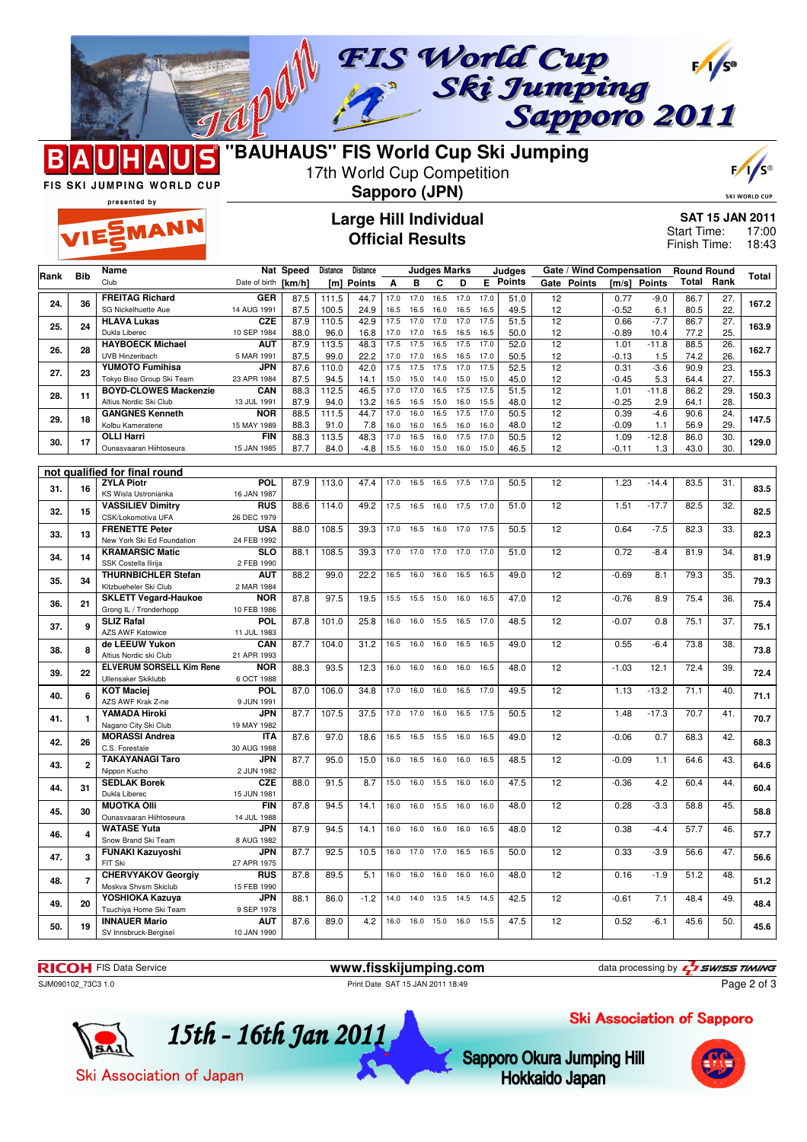

MANN



## 17th World Cup Competition

# $\mathbf{F}/$

SKI WORLD CU

FIS SKI JUMPING WORLD CUP presented by

### **Sapporo (JPN) Large Hill Individual Official Results**

**SAT 15 JAN 2011** Start Time: 17:00

Finish Time: 18:43

|      |                         | Name                                                  |                           | Nat Speed    | Distance      | Distance       |              |              | <b>Judges Marks</b> |              |              | Judges        | Gate / Wind Compensation |                 |                | <b>Round Round</b> |                 |       |
|------|-------------------------|-------------------------------------------------------|---------------------------|--------------|---------------|----------------|--------------|--------------|---------------------|--------------|--------------|---------------|--------------------------|-----------------|----------------|--------------------|-----------------|-------|
| Rank | Bib                     | Club                                                  | Date of birth             | [km/h]       | [m]           | <b>Points</b>  | A            | в            | С                   | D            | E            | <b>Points</b> | Gate Points              | [m/s]           | <b>Points</b>  | Total              | Rank            | Total |
|      |                         | <b>FREITAG Richard</b>                                | <b>GER</b>                | 87.5         | 111.5         | 44.7           | 17.0         | 17.0         | 16.5                | 17.0         | 17.0         | 51.0          | 12                       | 0.77            | $-9.0$         | 86.7               | 27.             |       |
| 24.  | 36                      | SG Nickelhuette Aue                                   | 14 AUG 1991               | 87.5         | 100.5         | 24.9           | 16.5         | 16.5         | 16.0                | 16.5         | 16.5         | 49.5          | 12                       | $-0.52$         | 6.1            | 80.5               | 22.             | 167.2 |
| 25.  | 24                      | <b>HLAVA Lukas</b>                                    | <b>CZE</b>                | 87.9         | 110.5         | 42.9           | 17.5         | 17.0         | 17.0                | 17.0         | 17.5         | 51.5          | $\overline{12}$          | 0.66            | $-7.7$         | 86.7               | 27.             | 163.9 |
|      |                         | Dukla Liberec                                         | 10 SEP 1984               | 88.0         | 96.0          | 16.8           | 17.0         | 17.0         | 16.5                | 16.5         | 16.5         | 50.0          | 12                       | $-0.89$         | 10.4           | 77.2               | 25.             |       |
| 26.  | 28                      | <b>HAYBOECK Michael</b>                               | <b>AUT</b>                | 87.9         | 113.5         | 48.3           | 17.5         | 17.5         | 16.5                | 17.5         | 17.0         | 52.0          | 12                       | 1.01            | $-11.8$        | 88.5               | 26.             | 162.7 |
|      |                         | <b>UVB Hinzenbach</b><br><b>YUMOTO Fumihisa</b>       | 5 MAR 1991<br>JPN         | 87.5<br>87.6 | 99.0<br>110.0 | 22.2<br>42.0   | 17.0<br>17.5 | 17.0<br>17.5 | 16.5<br>17.5        | 16.5<br>17.0 | 17.0<br>17.5 | 50.5<br>52.5  | 12<br>12                 | $-0.13$<br>0.31 | 1.5<br>$-3.6$  | 74.2<br>90.9       | 26.<br>23.      |       |
| 27.  | 23                      | Tokyo Biso Group Ski Team                             | 23 APR 1984               | 87.5         | 94.5          | 14.1           | 15.0         | 15.0         | 14.0                | 15.0         | 15.0         | 45.0          | 12                       | $-0.45$         | 5.3            | 64.4               | 27.             | 155.3 |
|      |                         | <b>BOYD-CLOWES Mackenzie</b>                          | CAN                       | 88.3         | 112.5         | 46.5           | 17.0         | 17.0         | 16.5                | 17.5         | 17.5         | 51.5          | 12                       | 1.01            | $-11.8$        | 86.2               | 29.             |       |
| 28.  | 11                      | Altius Nordic Ski Club                                | 13 JUL 1991               | 87.9         | 94.0          | 13.2           | 16.5         | 16.5         | 15.0                | 16.0         | 15.5         | 48.0          | 12                       | $-0.25$         | 2.9            | 64.1               | 28.             | 150.3 |
| 29.  | 18                      | <b>GANGNES Kenneth</b>                                | <b>NOR</b>                | 88.5         | 111.5         | 44.7           | 17.0         | 16.0         | 16.5                | 17.5         | 17.0         | 50.5          | 12                       | 0.39            | $-4.6$         | 90.6               | 24.             | 147.5 |
|      |                         | Kolbu Kameratene                                      | 15 MAY 1989               | 88.3         | 91.0          | 7.8            | 16.0         | 16.0         | 16.5                | 16.0         | 16.0         | 48.0          | 12                       | $-0.09$         | 1.1            | 56.9               | 29.             |       |
| 30.  | 17                      | <b>OLLI Harri</b><br>Ounasvaaran Hiihtoseura          | <b>FIN</b><br>15 JAN 1985 | 88.3<br>87.7 | 113.5<br>84.0 | 48.3<br>$-4.8$ | 17.0<br>15.5 | 16.5<br>16.0 | 16.0<br>15.0        | 17.5<br>16.0 | 17.0<br>15.0 | 50.5<br>46.5  | $\overline{12}$<br>12    | 1.09<br>$-0.11$ | $-12.8$<br>1.3 | 86.0<br>43.0       | 30.<br>30.      | 129.0 |
|      |                         |                                                       |                           |              |               |                |              |              |                     |              |              |               |                          |                 |                |                    |                 |       |
|      |                         | not qualified for final round                         |                           |              |               |                |              |              |                     |              |              |               |                          |                 |                |                    |                 |       |
| 31.  | 16                      | <b>ZYLA Piotr</b>                                     | POL                       | 87.9         | 113.0         | 47.4           | 17.0         | 16.5         | 16.5                | 17.5         | 17.0         | 50.5          | 12                       | 1.23            | $-14.4$        | 83.5               | 31.             | 83.5  |
|      |                         | KS Wisla Ustronianka                                  | 16 JAN 1987               |              |               |                |              |              |                     |              |              |               |                          |                 |                |                    |                 |       |
| 32.  | 15                      | <b>VASSILIEV Dimitry</b>                              | <b>RUS</b>                | 88.6         | 114.0         | 49.2           | 17.5         | 16.5         | 16.0                | 17.5         | 17.0         | 51.0          | 12                       | 1.51            | $-17.7$        | 82.5               | 32.             | 82.5  |
|      |                         | CSK/Lokomotiva UFA<br><b>FRENETTE Peter</b>           | 26 DEC 1979<br><b>USA</b> | 88.0         | 108.5         | 39.3           | 17.0         | 16.5         | 16.0                | 17.0         | 17.5         | 50.5          | 12                       | 0.64            | $-7.5$         | 82.3               | 33.             |       |
| 33.  | 13                      | New York Ski Ed Foundation                            | 24 FEB 1992               |              |               |                |              |              |                     |              |              |               |                          |                 |                |                    |                 | 82.3  |
|      |                         | <b>KRAMARSIC Matic</b>                                | <b>SLO</b>                | 88.1         | 108.5         | 39.3           | 17.0         | 17.0         | 17.0                | 17.0         | 17.0         | 51.0          | 12                       | 0.72            | $-8.4$         | 81.9               | 34.             |       |
| 34.  | 14                      | SSK Costella Ilirija                                  | 2 FEB 1990                |              |               |                |              |              |                     |              |              |               |                          |                 |                |                    |                 | 81.9  |
| 35.  | 34                      | <b>THURNBICHLER Stefan</b>                            | <b>AUT</b>                | 88.2         | 99.0          | 22.2           | 16.5         | 16.0         | 16.0                | 16.5         | 16.5         | 49.0          | $\overline{12}$          | $-0.69$         | 8.1            | 79.3               | $\overline{35}$ | 79.3  |
|      |                         | Kitzbueheler Ski Club                                 | 2 MAR 1984                |              |               |                |              |              |                     |              |              |               |                          |                 |                |                    |                 |       |
| 36.  | 21                      | <b>SKLETT Vegard-Haukoe</b><br>Grong IL / Tronderhopp | <b>NOR</b><br>10 FEB 1986 | 87.8         | 97.5          | 19.5           | 15.5         | 15.5         | 15.0                | 16.0         | 16.5         | 47.0          | 12                       | $-0.76$         | 8.9            | 75.4               | 36.             | 75.4  |
|      |                         | <b>SLIZ Rafal</b>                                     | <b>POL</b>                | 87.8         | 101.0         | 25.8           | 16.0         | 16.0         | 15.5                | 16.5         | 17.0         | 48.5          | 12                       | $-0.07$         | 0.8            | 75.1               | 37.             |       |
| 37.  | 9                       | <b>AZS AWF Katowice</b>                               | 11 JUL 1983               |              |               |                |              |              |                     |              |              |               |                          |                 |                |                    |                 | 75.1  |
| 38.  | 8                       | de LEEUW Yukon                                        | CAN                       | 87.7         | 104.0         | 31.2           | 16.5         | 16.0         | 16.0                | 16.5         | 16.5         | 49.0          | 12                       | 0.55            | $-6.4$         | 73.8               | 38.             | 73.8  |
|      |                         | Altius Nordic ski Club                                | 21 APR 1993               |              |               |                |              |              |                     |              |              |               |                          |                 |                |                    |                 |       |
| 39.  | 22                      | <b>ELVERUM SORSELL Kim Rene</b>                       | <b>NOR</b>                | 88.3         | 93.5          | 12.3           | 16.0         | 16.0         | 16.0                | 16.0         | 16.5         | 48.0          | 12                       | $-1.03$         | 12.1           | 72.4               | 39.             | 72.4  |
|      |                         | Ullensaker Skiklubb<br><b>KOT Maciej</b>              | 6 OCT 1988<br><b>POL</b>  | 87.0         | 106.0         | 34.8           | 17.0         | 16.0         | 16.0                | 16.5         | 17.0         | 49.5          | $\overline{12}$          | 1.13            | $-13.2$        | 71.1               | 40.             |       |
| 40.  | 6                       | AZS AWF Krak Z-ne                                     | 9 JUN 1991                |              |               |                |              |              |                     |              |              |               |                          |                 |                |                    |                 | 71.1  |
|      |                         | <b>YAMADA Hiroki</b>                                  | <b>JPN</b>                | 87.7         | 107.5         | 37.5           | 17.0         | 17.0         | 16.0                | 16.5         | 17.5         | 50.5          | $\overline{12}$          | 1.48            | $-17.3$        | 70.7               | 41.             |       |
| 41.  | 1                       | Nagano City Ski Club                                  | 19 MAY 1982               |              |               |                |              |              |                     |              |              |               |                          |                 |                |                    |                 | 70.7  |
| 42.  | 26                      | <b>MORASSI Andrea</b>                                 | <b>ITA</b>                | 87.6         | 97.0          | 18.6           | 16.5         | 16.5         | 15.5                | 16.0         | 16.5         | 49.0          | 12                       | $-0.06$         | 0.7            | 68.3               | 42.             | 68.3  |
|      |                         | C.S. Forestale                                        | 30 AUG 1988               |              |               |                |              |              |                     |              |              |               |                          |                 |                |                    |                 |       |
| 43.  | $\overline{\mathbf{2}}$ | <b>TAKAYANAGI Taro</b><br>Nippon Kucho                | <b>JPN</b><br>2 JUN 1982  | 87.7         | 95.0          | 15.0           | 16.0         | 16.5         | 16.0                | 16.0         | 16.5         | 48.5          | 12                       | $-0.09$         | 1.1            | 64.6               | 43.             | 64.6  |
|      |                         | <b>SEDLAK Borek</b>                                   | <b>CZE</b>                | 88.0         | 91.5          | 8.7            | 15.0         | 16.0         | 15.5                | 16.0         | 16.0         | 47.5          | 12                       | $-0.36$         | 4.2            | 60.4               | 44.             |       |
| 44.  | 31                      | Dukla Liberec                                         | 15 JUN 1981               |              |               |                |              |              |                     |              |              |               |                          |                 |                |                    |                 | 60.4  |
| 45.  | 30                      | <b>MUOTKA OIII</b>                                    | <b>FIN</b>                | 87.8         | 94.5          | 14.1           | 16.0         | 16.0         | 15.5                | 16.0         | 16.0         | 48.0          | 12                       | 0.28            | $-3.3$         | 58.8               | 45.             | 58.8  |
|      |                         | Ounasvaaran Hiihtoseura                               | 14 JUL 1988               |              |               |                |              |              |                     |              |              |               |                          |                 |                |                    |                 |       |
| 46.  | 4                       | <b>WATASE Yuta</b>                                    | <b>JPN</b>                | 87.9         | 94.5          | 14.1           | 16.0         | 16.0         | 16.0                | 16.0         | 16.5         | 48.0          | $\overline{12}$          | 0.38            | $-4.4$         | 57.7               | 46.             | 57.7  |
|      |                         | Snow Brand Ski Team<br><b>FUNAKI Kazuvoshi</b>        | 8 AUG 1982<br>JPN         | 87.7         | 92.5          | 10.5           | 16.0         | 17.0         | 17.0                | 16.5         | 16.5         | 50.0          | 12                       | 0.33            | $-3.9$         | 56.6               | 47.             |       |
| 47.  | 3                       | FIT Ski                                               | 27 APR 1975               |              |               |                |              |              |                     |              |              |               |                          |                 |                |                    |                 | 56.6  |
|      |                         | <b>CHERVYAKOV Georgiy</b>                             | <b>RUS</b>                | 87.8         | 89.5          | 5.1            | 16.0         | 16.0         | 16.0                | 16.0         | 16.0         | 48.0          | 12                       | 0.16            | $-1.9$         | 51.2               | 48.             |       |
| 48.  | $\overline{7}$          | Moskva Shvsm Skiclub                                  | 15 FEB 1990               |              |               |                |              |              |                     |              |              |               |                          |                 |                |                    |                 | 51.2  |
| 49.  | 20                      | YOSHIOKA Kazuya                                       | JPN                       | 88.1         | 86.0          | $-1.2$         | 14.0         | 14.0         | 13.5                | 14.5         | 14.5         | 42.5          | 12                       | $-0.61$         | 7.1            | 48.4               | 49.             | 48.4  |
|      |                         | Tsuchiya Home Ski Team                                | 9 SEP 1978                |              |               |                |              |              |                     |              |              |               |                          |                 |                |                    |                 |       |
| 50.  | 19                      | <b>INNAUER Mario</b>                                  | <b>AUT</b><br>10 JAN 1990 | 87.6         | 89.0          | 4.2            | 16.0         | 16.0         | 15.0                | 16.0         | 15.5         | 47.5          | 12                       | 0.52            | $-6.1$         | 45.6               | 50.             | 45.6  |
|      |                         | SV Innsbruck-Bergisel                                 |                           |              |               |                |              |              |                     |              |              |               |                          |                 |                |                    |                 |       |

**RICOH** FIS Data Service **www.fisskijumping.com** data processing by  $\frac{7}{2}$  **swiss TIMING** SJM090102\_73C3 1.0 Print Date SAT 15 JAN 2011 18:49

Page 2 of 3

Ski Association of Sapporo



Sapporo Okura Jumping Hill **Hokkaido Japan**